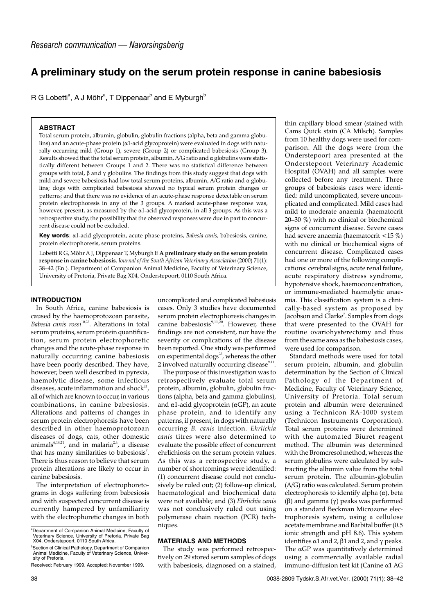# **A preliminary study on the serum protein response in canine babesiosis**

R G Lobetti $\mathrm{^a}$ , A J Möhr $\mathrm{^a}$ , T Dippenaar $\mathrm{^b}$  and E Myburgh $\mathrm{^b}$ 

## **ABSTRACT**

Total serum protein, albumin, globulin, globulin fractions (alpha, beta and gamma globulins) and an acute-phase protein ( $\alpha$ 1-acid glycoprotein) were evaluated in dogs with naturally occurring mild (Group 1), severe (Group 2) or complicated babesiosis (Group 3). Results showed that the total serum protein, albumin,  $A/G$  ratio and  $\alpha$  globulins were statistically different between Groups 1 and 2. There was no statistical difference between groups with total,  $\beta$  and  $\gamma$  globulins. The findings from this study suggest that dogs with mild and severe babesiosis had low total serum proteins, albumin,  $A/G$  ratio and  $\alpha$  globulins; dogs with complicated babesiosis showed no typical serum protein changes or patterns; and that there was no evidence of an acute-phase response detectable on serum protein electrophoresis in any of the 3 groups. A marked acute-phase response was, however, present, as measured by the  $\alpha$ 1-acid glycoprotein, in all 3 groups. As this was a retrospective study, the possibility that the observed responses were due in part to concurrent disease could not be excluded.

**Key words**: α1-acid glycoprotein, acute phase proteins, *Babesia canis*, babesiosis, canine, protein electrophoresis, serum proteins.

Lobetti R G, Möhr A J, Dippenaar T, Myburgh E **A preliminary study on the serum protein response in canine babesiosis**. *Journal of the South African Veterinary Association* (2000) 71(1): 38–42 (En.). Department of Companion Animal Medicine, Faculty of Veterinary Science, University of Pretoria, Private Bag X04, Onderstepoort, 0110 South Africa.

### **INTRODUCTION**

In South Africa, canine babesiosis is caused by the haemoprotozoan parasite, *Babesia canis rossi*<sup>10,22</sup>. Alterations in total serum proteins, serum protein quantification, serum protein electrophoretic changes and the acute-phase response in naturally occurring canine babesiosis have been poorly described. They have, however, been well described in pyrexia, haemolytic disease, some infectious diseases, acute inflammation and shock $21$ , all of which are known to occur, in various combinations, in canine babesiosis. Alterations and patterns of changes in serum protein electrophoresis have been described in other haemoprotozoan diseases of dogs, cats, other domestic animals<sup>6,14,21</sup>, and in malaria<sup>2,4</sup>, a disease that has many similarities to babesiosis<sup>7</sup>. There is thus reason to believe that serum protein alterations are likely to occur in canine babesiosis.

The interpretation of electrophoretograms in dogs suffering from babesiosis and with suspected concurrent disease is currently hampered by unfamiliarity with the electrophoretic changes in both uncomplicated and complicated babesiosis cases. Only 3 studies have documented serum protein electrophoresis changes in canine babesiosis<sup>9,11,20</sup>. However, these findings are not consistent, nor have the severity or complications of the disease been reported. One study was performed on experimental dogs<sup>22</sup>, whereas the other 2 involved naturally occurring disease $9,11$ .

The purpose of this investigation was to retrospectively evaluate total serum protein, albumin, globulin, globulin fractions (alpha, beta and gamma globulins), and  $\alpha$ 1-acid glycoprotein ( $\alpha$ GP), an acute phase protein, and to identify any patterns, if present, in dogs with naturally occurring *B. canis* infection. *Ehrlichia canis* titres were also determined to evaluate the possible effect of concurrent ehrlichiosis on the serum protein values. As this was a retrospective study, a number of shortcomings were identified: (1) concurrent disease could not conclusively be ruled out; (2) follow-up clinical, haematological and biochemical data were not available; and (3) *Ehrlichia canis* was not conclusively ruled out using polymerase chain reaction (PCR) techniques.

#### **MATERIALS AND METHODS**

The study was performed retrospectively on 29 stored serum samples of dogs with babesiosis, diagnosed on a stained, thin capillary blood smear (stained with Cams Quick stain (CA Milsch). Samples from 10 healthy dogs were used for comparison. All the dogs were from the Onderstepoort area presented at the Onderstepoort Veterinary Academic Hospital (OVAH) and all samples were collected before any treatment. Three groups of babesiosis cases were identified: mild uncomplicated, severe uncomplicated and complicated. Mild cases had mild to moderate anaemia (haematocrit 20–30 %) with no clinical or biochemical signs of concurrent disease. Severe cases had severe anaemia (haematocrit <15 %) with no clinical or biochemical signs of concurrent disease. Complicated cases had one or more of the following complications: cerebral signs, acute renal failure, acute respiratory distress syndrome, hypotensive shock, haemoconcentration, or immune-mediated haemolytic anaemia. This classification system is a clinically-based system as proposed by Jacobson and Clarke<sup>7</sup>. Samples from dogs that were presented to the OVAH for routine ovariohysterectomy and thus from the same area as the babesiosis cases, were used for comparison.

Standard methods were used for total serum protein, albumin, and globulin determination by the Section of Clinical Pathology of the Department of Medicine, Faculty of Veterinary Science, University of Pretoria. Total serum protein and albumin were determined using a Technicon RA-1000 system (Technicon Instruments Corporation). Total serum proteins were determined with the automated Biuret reagent method. The albumin was determined with the Bromcresol method, whereas the serum globulins were calculated by subtracting the albumin value from the total serum protein. The albumin-globulin (A/G) ratio was calculated. Serum protein electrophoresis to identify alpha  $(\alpha)$ , beta (β) and gamma (γ) peaks was performed on a standard Beckman Microzone electrophoresis system, using a cellulose acetate membrane and Barbital buffer (0.5 ionic strength and pH 8.6). This system identifies  $\alpha 1$  and 2,  $\beta 1$  and 2, and  $\gamma$  peaks. The  $\alpha$ GP was quantitatively determined using a commercially available radial immuno-diffusion test kit (Canine  $\alpha$ 1 AG

<sup>&</sup>lt;sup>a</sup>Department of Companion Animal Medicine, Faculty of Veterinary Science, University of Pretoria, Private Bag X04, Onderstepoort, 0110 South Africa.

b Section of Clinical Pathology, Department of Companion Animal Medicine, Faculty of Veterinary Science, Univer-sity of Pretoria.

Received: February 1999. Accepted: November 1999.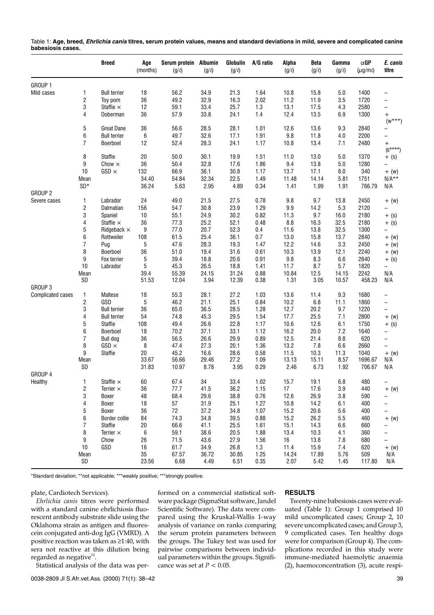|                   | Table 1: Age, breed, Ehrlichia canis titres, serum protein values, means and standard deviations in mild, severe and complicated canine |  |  |
|-------------------|-----------------------------------------------------------------------------------------------------------------------------------------|--|--|
| babesiosis cases. |                                                                                                                                         |  |  |

|                          |                | <b>Breed</b>        | Age<br>(months)  | Serum protein Albumin<br>$(g/\ell)$ | $(g/\ell)$    | Globulin<br>$(g/\ell)$ | A/G ratio    | <b>Alpha</b><br>$(g/\ell)$ | <b>Beta</b><br>$(g/\ell)$ | Gamma<br>$(g/\ell)$ | $\alpha$ GP<br>$(\mu$ g/m $\ell$ | E. canis<br>titre        |
|--------------------------|----------------|---------------------|------------------|-------------------------------------|---------------|------------------------|--------------|----------------------------|---------------------------|---------------------|----------------------------------|--------------------------|
| GROUP 1                  |                |                     |                  |                                     |               |                        |              |                            |                           |                     |                                  |                          |
| Mild cases               | 1              | <b>Bull terrier</b> | 18               | 56.2                                | 34.9          | 21.3                   | 1.64         | 10.8                       | 15.8                      | 5.0                 | 1400                             | $\qquad \qquad -$        |
|                          | 2              | Toy pom             | 36               | 49.2                                | 32.9          | 16.3                   | 2.02         | 11.2                       | 11.9                      | 3.5                 | 1720                             | $\overline{\phantom{0}}$ |
|                          | 3              | Staffie $\times$    | 12               | 59.1                                | 33.4          | 25.7                   | $1.3\,$      | 13.1                       | 17.5                      | 4.3                 | 2580                             |                          |
|                          | 4              | Doberman            | 36               | 57.9                                | 33.8          | 24.1                   | 1.4          | 12.4                       | 13.5                      | 6.9                 | 1300                             | $\overline{+}$           |
|                          |                |                     |                  |                                     |               |                        |              |                            |                           |                     |                                  | $(W***)$                 |
|                          | 5              | <b>Great Dane</b>   | 36               | 56.6                                | 28.5          | 28.1                   | 1.01         | 12.6                       | 13.6                      | 9.3                 | 2840                             |                          |
|                          | 6              | <b>Bull terrier</b> | $\boldsymbol{6}$ | 49.7                                | 32.6          | 17.1                   | 1.91         | 9.8                        | 11.8                      | 4.0                 | 2200                             |                          |
|                          | $\overline{7}$ | Boerboel            | 12               | 52.4                                | 28.3          | 24.1                   | 1.17         | 10.8                       | 13.4                      | 7.1                 | 2480                             | $^{+}$<br>$(S^{***})$    |
|                          | 8              | <b>Staffie</b>      | 20               | 50.0                                | 30.1          | 19.9                   | 1.51         | 11.0                       | 13.0                      | $5.0\,$             | 1370                             | $+$ (s)                  |
|                          | 9              | Chow $\times$       | 36               | 50.4                                | 32.8          | 17.6                   | 1.86         | 9.4                        | 13.8                      | $5.0\,$             | 1280                             |                          |
|                          | 10             | $GSD \times$        | 132              | 66.9                                | 36.1          | 30.8                   | 1.17         | 13.7                       | 17.1                      | 8.0                 | 340                              |                          |
|                          |                |                     |                  |                                     |               |                        |              |                            |                           |                     |                                  | $+$ (w)                  |
|                          | Mean           |                     | 34.40            | 54.84                               | 32.34         | 22.5                   | 1.49         | 11.48                      | 14.14                     | 5.81                | 1751                             | $N/A**$                  |
| GROUP <sub>2</sub>       | $SD*$          |                     | 36.24            | 5.63                                | 2.95          | 4.89                   | 0.34         | 1.41                       | 1.99                      | 1.91                | 766.79                           | N/A                      |
| Severe cases             | 1              | Labrador            | 24               | 49.0                                | 21.5          | 27.5                   | 0.78         | 9.8                        | 9.7                       | 13.8                | 2450                             | $+$ (w)                  |
|                          | 2              | Dalmatian           | 156              | 54.7                                | 30.8          | 23.9                   | 1.29         | 9.9                        | 14.2                      | $5.3\,$             | 2120                             |                          |
|                          | 3              | Spaniel             | 10               | 55.1                                | 24.9          | 30.2                   | 0.82         | 11.3                       | 9.7                       | 16.0                | 2180                             |                          |
|                          |                |                     |                  |                                     |               |                        |              |                            |                           |                     |                                  | $+$ (s)                  |
|                          | 4              | Staffie $\times$    | 36               | 77.3                                | 25.2          | 52.1                   | 0.48         | 8.8                        | 16.3                      | 32.5                | 2180                             | $+$ (s)                  |
|                          | 5              | Ridgeback $\times$  | 9                | 77.0                                | 20.7          | 52.3                   | 0.4          | 11.6                       | 13.8                      | 32.5                | 1300                             |                          |
|                          | 6              | Rottweiler          | 108              | 61.5                                | 25.4          | 36.1                   | 0.7          | 13.0                       | 15.8                      | 13.7                | 2840                             | $+$ (W)                  |
|                          | 7              | Pug                 | $\sqrt{5}$       | 47.6                                | 28.3          | 19.3                   | 1.47         | 12.2                       | 14.6                      | 3.3                 | 2450                             | $+$ (w)                  |
|                          | 8              | Boerboel            | 36               | 51.0                                | 19.4          | 31.6                   | 0.61         | 10.3                       | 13.9                      | 12.1                | 2240                             | $+$ (w)                  |
|                          | 9              | Fox terrier         | $\mathbf 5$      | 39.4                                | 18.8          | 20.6                   | 0.91         | 9.8                        | 8.3                       | 6.6                 | 2840                             | $+$ (s)                  |
|                          | 10             | Labrador            | $\overline{5}$   | 45.3                                | 26.5          | 18.8                   | 1.41         | 11.7                       | 8.7                       | 5.7                 | 1820                             | -                        |
|                          | Mean           |                     | 39.4             | 55.39                               | 24.15         | 31.24                  | 0.88         | 10.84                      | 12.5                      | 14.15               | 2242                             | N/A                      |
|                          | SD             |                     | 51.53            | 12.04                               | 3.94          | 12.39                  | 0.38         | 1.31                       | 3.05                      | 10.57               | 458.23                           | N/A                      |
| GROUP <sub>3</sub>       |                |                     |                  |                                     |               |                        |              |                            |                           |                     |                                  |                          |
| <b>Complicated cases</b> | $\mathbf{1}$   | Maltese             | 18               | 55.3                                | 28.1          | 27.2                   | 1.03         | 13.6                       | 11.4                      | 9.3                 | 1680                             | -                        |
|                          | 2              | GSD                 | 5                | 46.2                                | 21.1          | 25.1                   | 0.84         | 10.2                       | 6.8                       | 11.1                | 1860                             | $\qquad \qquad -$        |
|                          | 3              | <b>Bull terrier</b> | 36               | 65.0                                | 36.5          | 28.5                   | 1.28         | 12.7                       | 20.2                      | 9.7                 | 1220                             | $\qquad \qquad -$        |
|                          | 4              | <b>Bull terrier</b> | 54               | 74.8                                | 45.3          | 29.5                   | 1.54         | 17.7                       | 25.5                      | 7.1                 | 2800                             | $+$ (w)                  |
|                          | 5              | Staffie             | 108              | 49.4                                | 26.6          | 22.8                   | 1.17         | 10.6                       | 12.6                      | 6.1                 | 1750                             | $+$ (s)                  |
|                          | 6              | Boerboel            | 18               | 70.2                                | 37.1          | 33.1                   | 1.12         | 16.2                       | 20.0                      | 7.2                 | 1640                             | -                        |
|                          | 7              | <b>Bull dog</b>     | $36\,$           | 56.5                                | 26.6          | 29.9                   | 0.89         | 12.5                       | 21.4                      | 8.8                 | 620                              | $\overline{\phantom{0}}$ |
|                          | 8              | GSD $\times$        |                  | 47.4                                | 27.3          | 20.1                   |              | 13.2                       | 7.8                       |                     | 2660                             |                          |
|                          |                |                     | 8                |                                     |               |                        | 1.36         |                            |                           | 6.6                 |                                  | $\qquad \qquad -$        |
|                          | 9              | Staffie             | 20               | 45.2                                | 16.6          | 28.6                   | 0.58         | 11.5                       | 10.3                      | 11.3                | 1040                             | $+$ (w)                  |
|                          | Mean<br>SD     |                     | 33.67<br>31.83   | 56.66<br>10.97                      | 29.46<br>8.78 | 27.2<br>3.95           | 1.09<br>0.29 | 13.13<br>2.46              | 15.11<br>6.73             | 8.57<br>1.92        | 1696.67<br>706.67                | N/A<br>N/A               |
| GROUP 4                  |                |                     |                  |                                     |               |                        |              |                            |                           |                     |                                  |                          |
| Healthy                  | $\mathbf{1}$   | Staffie $\times$    | 60               | 67.4                                | 34            | 33.4                   | 1.02         | 15.7                       | 19.1                      | $6.8\,$             | 480                              |                          |
|                          | 2              |                     | 36               | 77.7                                | 41.5          | 36.2                   | 1.15         | 17                         | 17.6                      | 3.9                 | 440                              |                          |
|                          |                | Terrier $\times$    |                  |                                     |               |                        |              |                            |                           |                     |                                  | $+$ (w)                  |
|                          | 3              | Boxer               | 48               | 68.4                                | 29.6          | 38.8                   | 0.76         | 12.6                       | 26.9                      | 3.8                 | 590                              |                          |
|                          | 4              | Boxer               | 18               | 57                                  | 31.9          | 25.1                   | 1.27         | 10.8                       | 14.2                      | 6.1                 | 400                              | $\qquad \qquad -$        |
|                          | 5              | Boxer               | 36               | 72                                  | 37.2          | 34.8                   | 1.07         | 15.2                       | 20.6                      | 5.6                 | 400                              |                          |
|                          | 6              | Border collie       | 84               | 74.3                                | 34.8          | 39.5                   | 0.88         | 15.2                       | 26.2                      | 5.5                 | 460                              | $+$ (w)                  |
|                          | 7              | <b>Staffie</b>      | 20               | 66.6                                | 41.1          | 25.5                   | 1.61         | 15.1                       | 14.3                      | 6.6                 | 660                              |                          |
|                          | 8              | Terrier $\times$    | 6                | 59.1                                | 38.6          | 20.5                   | 1.88         | 13.4                       | 10.3                      | 4.1                 | 360                              | -                        |
|                          | 9              | Chow                | 26               | 71.5                                | 43.6          | 27.9                   | 1.56         | 16                         | 13.8                      | 7.8                 | 680                              |                          |
|                          | 10             | GSD                 | $16\,$           | 61.7                                | 34.9          | 26.8                   | 1.3          | 11.4                       | 15.9                      | 7.4                 | 620                              | $+$ (w)                  |
|                          | Mean           |                     | 35               | 67.57                               | 36.72         | 30.85                  | 1.25         | 14.24                      | 17.89                     | 5.76                | 509                              | N/A                      |
|                          | SD             |                     | 23.56            | 6.68                                | 4.49          | 6.51                   | 0.35         | 2.07                       | 5.42                      | 1.45                | 117.80                           | N/A                      |

\*Standard deviation; \*\*not applicable; \*\*\*weakly positive; \*\*\*strongly positive.

#### plate, Cardiotech Services).

*Ehrlichia canis* titres were performed with a standard canine ehrlichiosis fluorescent antibody substrate slide using the Oklahoma strain as antigen and fluorescein conjugated anti-dog IgG (VMRD). A positive reaction was taken as ≥1:40, with sera not reactive at this dilution being regarded as negative $12$ .

Statistical analysis of the data was per-

0038-2809 Jl S.Afr.vet.Ass. (2000) 71(1): 38–42 39

formed on a commercial statistical software package (SigmaStat software, Jandel Scientific Software). The data were compared using the Kruskal-Wallis 1-way analysis of variance on ranks comparing the serum protein parameters between the groups. The Tukey test was used for pairwise comparisons between individual parameters within the groups. Significance was set at  $P < 0.05$ .

#### **RESULTS**

Twenty-nine babesiosis cases were evaluated (Table 1): Group 1 comprised 10 mild uncomplicated cases; Group 2, 10 severe uncomplicated cases; and Group 3, 9 complicated cases. Ten healthy dogs were for comparison (Group 4). The complications recorded in this study were immune-mediated haemolytic anaemia (2), haemoconcentration (3), acute respi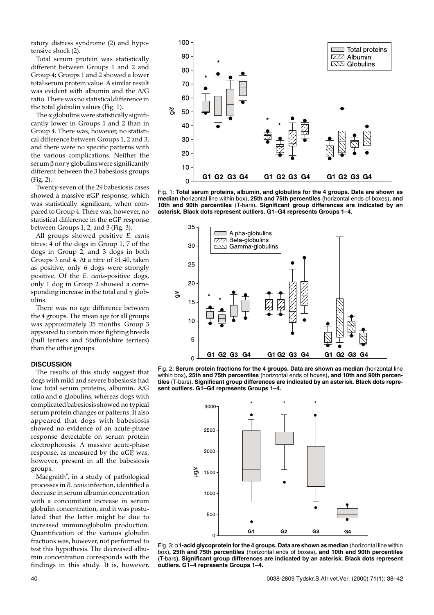ratory distress syndrome (2) and hypotensive shock (2).

Total serum protein was statistically different between Groups 1 and 2 and Group 4; Groups 1 and 2 showed a lower total serum protein value. A similar result was evident with albumin and the A/G ratio. There was no statistical difference in the total globulin values (Fig. 1).

The  $\alpha$  globulins were statistically significantly lower in Groups 1 and 2 than in Group 4. There was, however, no statistical difference between Groups 1, 2 and 3, and there were no specific patterns with the various complications. Neither the  $\operatorname{serum}\nolimits\beta$  nor  $\gamma$  globulins were significantly different between the 3 babesiosis groups (Fig. 2).

Twenty-seven of the 29 babesiosis cases showed a massive  $\alpha$ GP response, which was statistically significant, when compared to Group 4. There was, however, no statistical difference in the  $\alpha$ GP response between Groups 1, 2, and 3 (Fig. 3).

All groups showed positive *E. canis* titres: 4 of the dogs in Group 1, 7 of the dogs in Group 2, and 3 dogs in both Groups 3 and 4. At a titre of ≥1:40, taken as positive, only 6 dogs were strongly positive. Of the *E. canis*-positive dogs, only 1 dog in Group 2 showed a corresponding increase in the total and  $\gamma$  globulins.

There was no age difference between the 4 groups. The mean age for all groups was approximately 35 months. Group 3 appeared to contain more fighting breeds (bull terriers and Staffordshire terriers) than the other groups.

#### **DISCUSSION**

The results of this study suggest that dogs with mild and severe babesiosis had low total serum proteins, albumin, A/G ratio and  $\alpha$  globulins, whereas dogs with complicated babesiosis showed no typical serum protein changes or patterns. It also appeared that dogs with babesiosis showed no evidence of an acute-phase response detectable on serum protein electrophoresis. A massive acute-phase response, as measured by the  $\alpha$ GP, was, however, present in all the babesiosis groups.

Maegraith<sup>9</sup>, in a study of pathological processes in *B. canis* infection, identified a decrease in serum albumin concentration with a concomitant increase in serum globulin concentration, and it was postulated that the latter might be due to increased immunoglobulin production. Quantification of the various globulin fractions was, however, not performed to test this hypothesis. The decreased albumin concentration corresponds with the findings in this study. It is, however,



Fig. 1: **Total serum proteins, albumin, and globulins for the 4 groups. Data are shown as median** (horizontal line within box)**, 25th and 75th percentiles** (horizontal ends of boxes)**, and 10th and 90th percentiles** (T-bars)**. Significant group differences are indicated by an asterisk. Black dots represent outliers. G1–G4 represents Groups 1–4.**



Fig. 2: **Serum protein fractions for the 4 groups. Data are shown as median** (horizontal line within box)**, 25th and 75th percentiles** (horizontal ends of boxes)**, and 10th and 90th percentiles** (T-bars)**. Significant group differences are indicated by an asterisk. Black dots represent outliers. G1–G4 represents Groups 1–4.**



Fig.  $3: \alpha$ **1-acid glycoprotein for the 4 groups. Data are shown as median** (horizontal line within box)**, 25th and 75th percentiles** (horizontal ends of boxes)**, and 10th and 90th percentiles** (T-bars**). Significant group differences are indicated by an asterisk. Black dots represent outliers. G1–4 represents Groups 1–4.**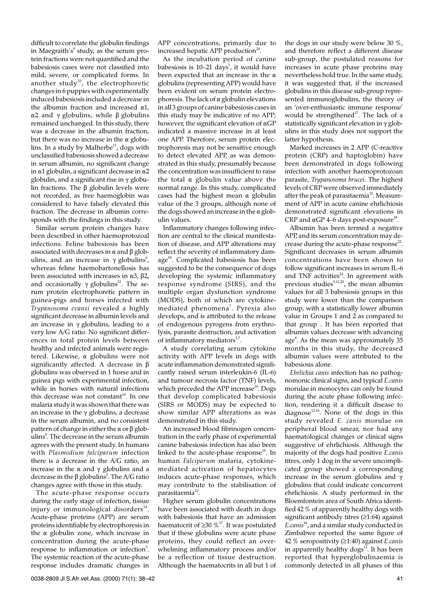difficult to correlate the globulin findings in Maegraith's $9$  study, as the serum protein fractions were not quantified and the babesiosis cases were not classified into mild, severe, or complicated forms. In another study<sup>20</sup>, the electrophoretic changes in 6 puppies with experimentally induced babesiosis included a decrease in the albumin fraction and increased  $\alpha$ 1. α2 and γ globulins, while β globulins remained unchanged. In this study, there was a decrease in the albumin fraction, but there was no increase in the  $\alpha$  globulins. In a study by Malherbe<sup>11</sup>, dogs with unclassified babesiosis showed a decrease in serum albumin, no significant change in  $\alpha$ 1 globulin, a significant decrease in  $\alpha$ 2 globulin, and a significant rise in  $\gamma$  globulin fractions. The  $\beta$  globulin levels were not recorded, as free haemoglobin was considered to have falsely elevated this fraction. The decrease in albumin corresponds with the findings in this study.

Similar serum protein changes have been described in other haemoprotozoal infections. Feline babesiosis has been associated with decreases in  $\alpha$  and  $\beta$  globulins, and an increase in  $\gamma$  globulins<sup>6</sup>, whereas feline haemobartonellosis has been associated with increases in  $\alpha$ 3,  $\beta$ 2, and occasionally  $\gamma$  globulins<sup>21</sup>. The serum protein electrophoretic pattern in guinea-pigs and horses infected with *Trypanosoma evansi* revealed a highly significant decrease in albumin levels and an increase in  $\gamma$  globulins, leading to a very low A/G ratio. No significant differences in total protein levels between healthy and infected animals were registered. Likewise, α globulins were not significantly affected. A decrease in  $\beta$ globulins was observed in 1 horse and in guinea pigs with experimental infection, while in horses with natural infections this decrease was not constant $14$ . In one malaria study it was shown that there was an increase in the  $\gamma$  globulins, a decrease in the serum albumin, and no consistent pattern of change in either the  $\alpha$  or  $\beta$  globulins<sup>4</sup>. The decrease in the serum albumin agrees with the present study. In humans with *Plasmodium falciparum* infection there is a decrease in the A/G ratio, an increase in the  $\alpha$  and  $\gamma$  globulins and a decrease in the  $\beta$  globulins<sup>2</sup>. The A/G ratio changes agree with those in this study.

The acute-phase response occurs during the early stage of infection, tissue injury or immunological disorders $24$ . Acute-phase proteins (APP) are serum proteins identifiable by electrophoresis in the  $\alpha$  globulin zone, which increase in concentration during the acute-phase response to inflammation or infection<sup>5</sup>. The systemic reaction of the acute-phase response includes dramatic changes in

APP concentrations, primarily due to increased hepatic APP production $24$ .

As the incubation period of canine babesiosis is 10–21 days<sup>1</sup>, it would have been expected that an increase in the  $\alpha$ globulins (representing APP) would have been evident on serum protein electrophoresis. The lack of  $\alpha$  globulin elevations in all 3 groups of canine babesiosis cases in this study may be indicative of no APP; however, the significant elevation of  $\alpha GP$ indicated a massive increase in at least one APP. Therefore, serum protein electrophoresis may not be sensitive enough to detect elevated APP, as was demonstrated in this study, presumably because the concentration was insufficient to raise the total  $\alpha$  globulin value above the normal range. In this study, complicated cases had the highest mean  $\alpha$  globulin value of the 3 groups, although none of the dogs showed an increase in the  $\alpha$  globulin values.

Inflammatory changes following infection are central to the clinical manifestation of disease, and APP alterations may reflect the severity of inflammatory damage<sup>18</sup>. Complicated babesiosis has been suggested to be the consequence of dogs developing the systemic inflammatory response syndrome (SIRS), and the multiple organ dysfunction syndrome (MODS), both of which are cytokinemediated phenomena<sup>7</sup>. Pyrexia also develops, and is attributed to the release of endogenous pyrogens from erythrolysis, parasite destruction, and activation of inflammatory mediators<sup>1,7</sup>.

A study correlating serum cytokine activity with APP levels in dogs with acute inflammation demonstrated significantly raised serum interleukin-6 (IL-6) and tumour necrosis factor (TNF) levels, which preceded the APP increase $^{24}$ . Dogs that develop complicated babesiosis (SIRS or MODS) may be expected to show similar APP alterations as was demonstrated in this study.

An increased blood fibrinogen concentration in the early phase of experimental canine babesiosis infection has also been linked to the acute-phase response<sup>19</sup>. In human *Falciparum* malaria, cytokinemediated activation of hepatocytes induces acute-phase responses, which may contribute to the stabilisation of parasitaemia<sup>23</sup>.

Higher serum globulin concentrations have been associated with death in dogs with babesiosis that have an admission haematocrit of ≥30  $\%$ <sup>17</sup>. It was postulated that if these globulins were acute phase proteins, they could reflect an overwhelming inflammatory process and/or be a reflection of tissue destruction. Although the haematocrits in all but 1 of

the dogs in our study were below 30 %, and therefore reflect a different disease sub-group, the postulated reasons for increases in acute phase proteins may nevertheless hold true. In the same study, it was suggested that, if the increased globulins in this disease sub-group represented immunoglobulins, the theory of an 'over-enthusiastic immune response' would be strengthened<sup>17</sup>. The lack of a statistically significant elevation in  $\gamma$  globulins in this study does not support the latter hypothesis.

Marked increases in 2 APP (C-reactive protein (CRP) and haptoglobin) have been demonstrated in dogs following infection with another haemoprotozoan parasite, *Trypanosoma brucei.* The highest levels of CRP were observed immediately after the peak of parasitaemia<sup>15</sup>. Measurement of APP in acute canine ehrlichiosis demonstrated significant elevations in CRP and  $\alpha$ GP 4–6 days post-exposure<sup>18</sup>.

Albumin has been termed a negative APP, and its serum concentration may decrease during the acute-phase response<sup>22</sup>. Significant decreases in serum albumin concentrations have been shown to follow significant increases in serum IL-6 and TNF activities $24$ . In agreement with previous studies<sup>9,11,20</sup>, the mean albumin values for all 3 babesiosis groups in this study were lower than the comparison group, with a statistically lower albumin value in Groups 1 and 2 as compared to that group . It has been reported that albumin values decrease with advancing age<sup>8</sup>. As the mean was approximately 35 months in this study, the decreased albumin values were attributed to the babesiosis alone.

*Ehrlichia canis* infection has no pathognomonic clinical signs, and typical *E.canis* morulae in monocytes can only be found during the acute phase following infection, rendering it a difficult disease to diagnose<sup>12,16</sup>. None of the dogs in this study revealed *E. canis* morulae on peripheral blood smear, nor had any haematological changes or clinical signs suggestive of ehrlichiosis. Although the majority of the dogs had positive *E.canis* titres, only 1 dog in the severe uncomplicated group showed a corresponding increase in the serum globulins and  $\gamma$ globulins that could indicate concurrent ehrlichiosis. A study performed in the Bloemfontein area of South Africa identified 42 % of apparently healthy dogs with significant antibody titres (≥1:64) against *E.canis*16, and a similar study conducted in Zimbabwe reported the same figure of 42 % seropositivity (≥1:40) against *E.canis* in apparently healthy dogs<sup>12</sup>. It has been reported that hyperglobulinaemia is commonly detected in all phases of this